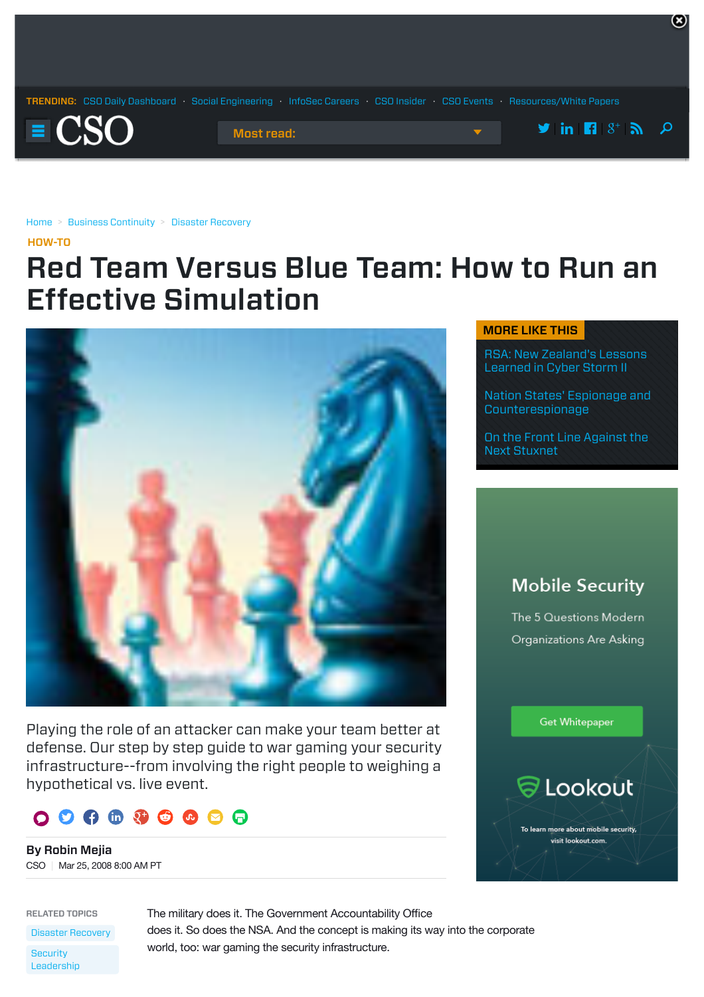

[Home](http://www.csoonline.com/) > [Business Continuity](http://www.csoonline.com/category/business-continuity/) > [Disaster Recovery](http://www.csoonline.com/category/disaster-recovery/)

[HOW-TO](http://www.csoonline.com/howto)

# Red Team Versus Blue Team: How to Run an Effective Simulation



Playing the role of an attacker can make your team better at defense. Our step by step guide to war gaming your security infrastructure--from involving the right people to weighing a hypothetical vs. live event.



By Robin Mejia CSO | Mar 25, 2008 8:00 AM PT

RELATED TOPICS

[Disaster Recovery](http://www.csoonline.com/category/disaster-recovery) **Security** [Leadership](http://www.csoonline.com/category/security-leadership)

The military does it. The Government Accountability Office does it. So does the NSA. And the concept is making its way into the corporate world, too: war gaming the security infrastructure.

#### MORE LIKE THIS

[RSA: New Zealand's Lessons](http://www.csoonline.com/article/2122668/malware-cybercrime/rsa--new-zealand-s-lessons-learned-in-cyber-storm-ii.html) Learned in Cyber Storm II

 $\mathbf{(x)}$ 

[Nation States' Espionage and](http://www.csoonline.com/article/2122720/critical-infrastructure/nation-states--espionage-and-counterespionage.html) Counterespionage

[On the Front Line Against the](http://www.csoonline.com/article/2129692/malware-cybercrime/on-the-front-line-against-the-next-stuxnet.html) Next Stuxnet

# **Mobile Security**

The 5 Questions Modern Organizations Are Asking

Get Whitepaper



To learn more about mobile security. visit lookout.com.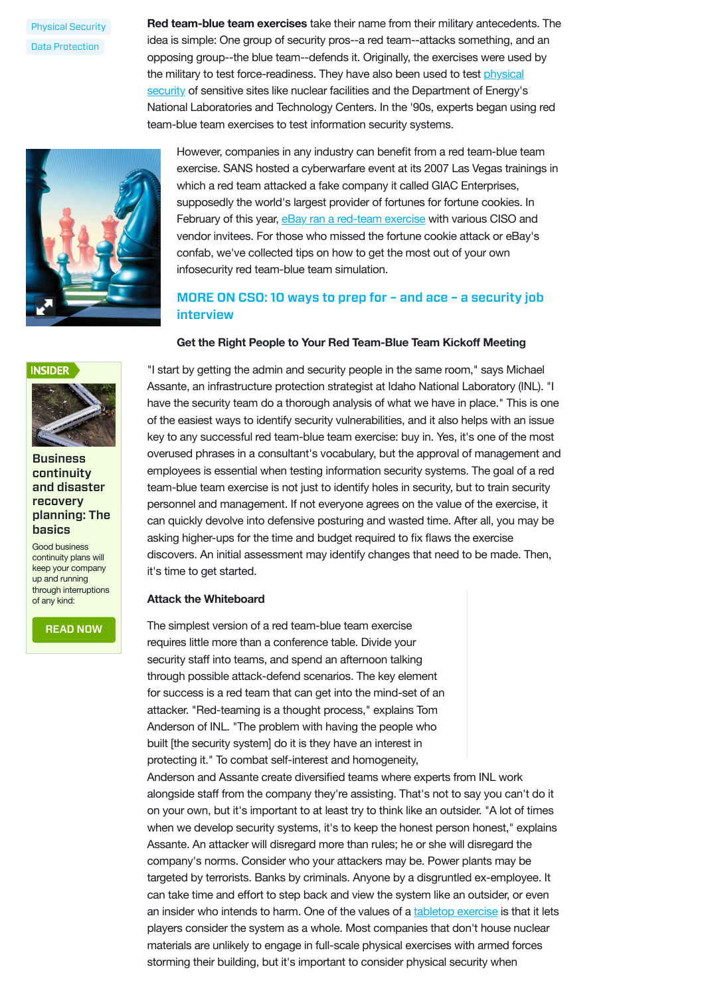[Physical Security](http://www.csoonline.com/category/physical-security) [Data Protection](http://www.csoonline.com/category/data-protection)

**Red team-blue team exercises** take their name from their military antecedents. The idea is simple: One group of security pros--a red team--attacks something, and an opposing group--the blue team--defends it. Originally, the exercises were used by [the military to test force-readiness. They have also been used to test physical](http://www.csoonline.com/topic/221490/Physical_Security) security of sensitive sites like nuclear facilities and the Department of Energy's National Laboratories and Technology Centers. In the '90s, experts began using red team-blue team exercises to test information security systems.



However, companies in any industry can benefit from a red team-blue team exercise. SANS hosted a cyberwarfare event at its 2007 Las Vegas trainings in which a red team attacked a fake company it called GIAC Enterprises, supposedly the world's largest provider of fortunes for fortune cookies. In February of this year, [eBay ran a red-team exercise](http://www.csoonline.com/article/217077) with various CISO and vendor invitees. For those who missed the fortune cookie attack or eBay's confab, we've collected tips on how to get the most out of your own infosecurity red team-blue team simulation.

### MORE ON CSO: 10 [ways to prep for – and ace – a security job](http://www.csoonline.com/article/2134284/security-industry/10-ways-to-prep-for--ndash--and-ace--ndash--a-security-job-interview.html#tk.cso-infsb) interview

#### **Get the Right People to Your Red Team-Blue Team Kickoff Meeting**



#### **Business** continuity and disaster recovery [planning: The](http://www.csoonline.com/article/2118605/pandemic-preparedness/pandemic-preparedness-business-continuity-and-disaster-recovery-planning-the-basics.html) basics

Good business continuity plans will keep your company up and running through interruptions of any kind:

[READ NOW](http://www.csoonline.com/article/2118605/pandemic-preparedness/pandemic-preparedness-business-continuity-and-disaster-recovery-planning-the-basics.html)

"I start by getting the admin and security people in the same room," says Michael Assante, an infrastructure protection strategist at Idaho National Laboratory (INL). "I have the security team do a thorough analysis of what we have in place." This is one of the easiest ways to identify security vulnerabilities, and it also helps with an issue key to any successful red team-blue team exercise: buy in. Yes, it's one of the most overused phrases in a consultant's vocabulary, but the approval of management and employees is essential when testing information security systems. The goal of a red team-blue team exercise is not just to identify holes in security, but to train security personnel and management. If not everyone agrees on the value of the exercise, it can quickly devolve into defensive posturing and wasted time. After all, you may be asking higher-ups for the time and budget required to fix flaws the exercise discovers. An initial assessment may identify changes that need to be made. Then, it's time to get started.

#### **Attack the Whiteboard**

The simplest version of a red team-blue team exercise requires little more than a conference table. Divide your security staff into teams, and spend an afternoon talking through possible attack-defend scenarios. The key element for success is a red team that can get into the mind-set of an attacker. "Red-teaming is a thought process," explains Tom Anderson of INL. "The problem with having the people who built [the security system] do it is they have an interest in protecting it." To combat self-interest and homogeneity,

Anderson and Assante create diversified teams where experts from INL work alongside staff from the company they're assisting. That's not to say you can't do it on your own, but it's important to at least try to think like an outsider. "A lot of times when we develop security systems, it's to keep the honest person honest," explains Assante. An attacker will disregard more than rules; he or she will disregard the company's norms. Consider who your attackers may be. Power plants may be targeted by terrorists. Banks by criminals. Anyone by a disgruntled ex-employee. It can take time and effort to step back and view the system like an outsider, or even an insider who intends to harm. One of the values of a [tabletop exercise](http://www.csoonline.com/article/219719/Security_Simulations_This_Is_Only_A_Test) is that it lets players consider the system as a whole. Most companies that don't house nuclear materials are unlikely to engage in full-scale physical exercises with armed forces storming their building, but it's important to consider physical security when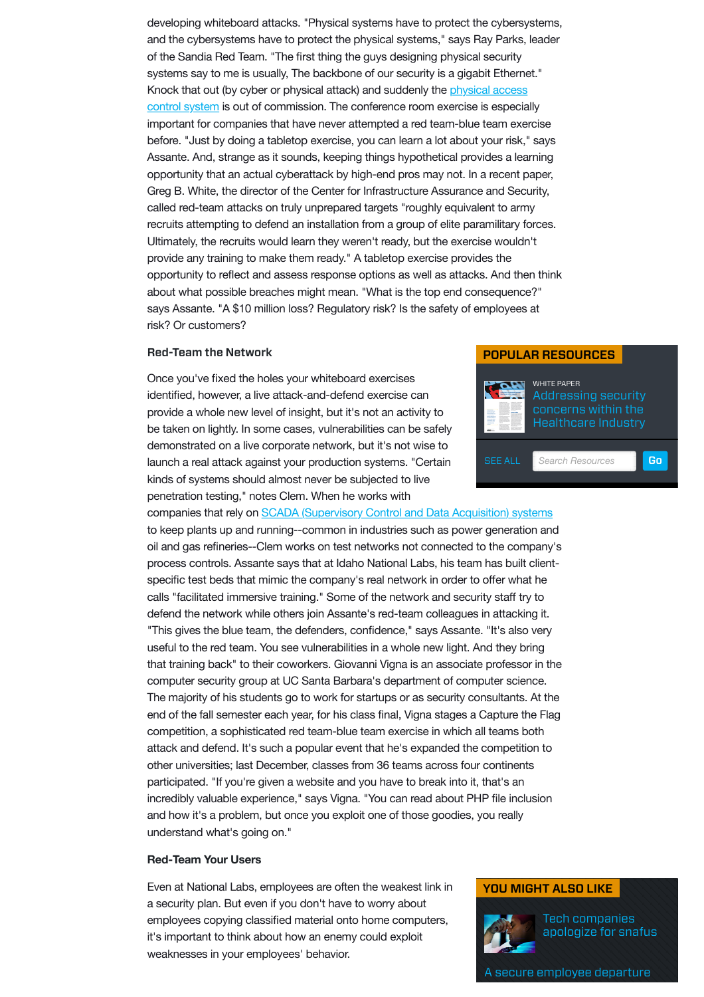developing whiteboard attacks. "Physical systems have to protect the cybersystems, and the cybersystems have to protect the physical systems," says Ray Parks, leader of the Sandia Red Team. "The first thing the guys designing physical security systems say to me is usually, The backbone of our security is a gigabit Ethernet." [Knock that out \(by cyber or physical attack\) and suddenly the physical access](http://www.csoonline.com/article/330219/The_Physical_Access_Control_Project_Planner/1) control system is out of commission. The conference room exercise is especially important for companies that have never attempted a red team-blue team exercise before. "Just by doing a tabletop exercise, you can learn a lot about your risk," says Assante. And, strange as it sounds, keeping things hypothetical provides a learning opportunity that an actual cyberattack by high-end pros may not. In a recent paper, Greg B. White, the director of the Center for Infrastructure Assurance and Security, called red-team attacks on truly unprepared targets "roughly equivalent to army recruits attempting to defend an installation from a group of elite paramilitary forces. Ultimately, the recruits would learn they weren't ready, but the exercise wouldn't provide any training to make them ready." A tabletop exercise provides the opportunity to reflect and assess response options as well as attacks. And then think about what possible breaches might mean. "What is the top end consequence?" says Assante. "A \$10 million loss? Regulatory risk? Is the safety of employees at risk? Or customers?

#### Red-Team the Network

Once you've fixed the holes your whiteboard exercises identified, however, a live attack-and-defend exercise can provide a whole new level of insight, but it's not an activity to be taken on lightly. In some cases, vulnerabilities can be safely demonstrated on a live corporate network, but it's not wise to launch a real attack against your production systems. "Certain kinds of systems should almost never be subjected to live penetration testing," notes Clem. When he works with

#### [POPULAR RESOURCES](http://www.csoonline.com/resources)



companies that rely on [SCADA \(Supervisory Control and Data Acquisition\) systems](http://www.csoonline.com/article/219486/SCADA_System_Security_Out_of_Control/1) to keep plants up and running--common in industries such as power generation and oil and gas refineries--Clem works on test networks not connected to the company's process controls. Assante says that at Idaho National Labs, his team has built clientspecific test beds that mimic the company's real network in order to offer what he calls "facilitated immersive training." Some of the network and security staff try to defend the network while others join Assante's red-team colleagues in attacking it. "This gives the blue team, the defenders, confidence," says Assante. "It's also very useful to the red team. You see vulnerabilities in a whole new light. And they bring that training back" to their coworkers. Giovanni Vigna is an associate professor in the computer security group at UC Santa Barbara's department of computer science. The majority of his students go to work for startups or as security consultants. At the end of the fall semester each year, for his class final, Vigna stages a Capture the Flag competition, a sophisticated red team-blue team exercise in which all teams both attack and defend. It's such a popular event that he's expanded the competition to other universities; last December, classes from 36 teams across four continents participated. "If you're given a website and you have to break into it, that's an incredibly valuable experience," says Vigna. "You can read about PHP file inclusion and how it's a problem, but once you exploit one of those goodies, you really understand what's going on."

#### **Red-Team Your Users**

Even at National Labs, employees are often the weakest link in a security plan. But even if you don't have to worry about employees copying classified material onto home computers, it's important to think about how an enemy could exploit weaknesses in your employees' behavior.

#### YOU MIGHT ALSO LIKE



[Tech companies](http://www.csoonline.com/article/2954984/data-protection/tech-companies-apologize-for-snafus.html) apologize for snafus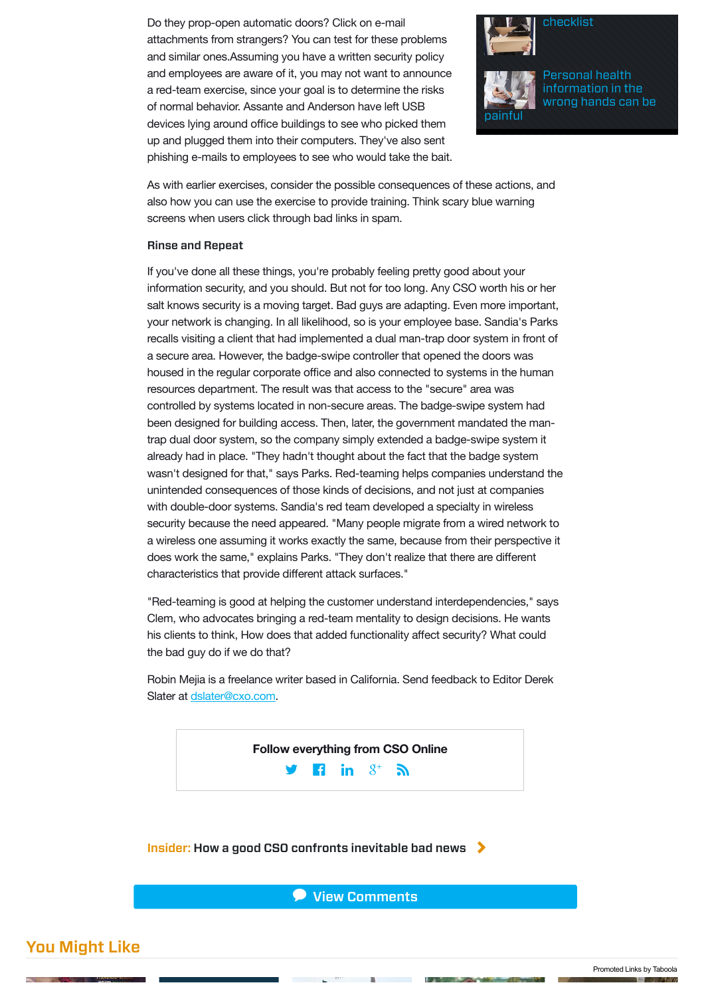Do they prop-open automatic doors? Click on e-mail attachments from strangers? You can test for these problems and similar ones.Assuming you have a written security policy and employees are aware of it, you may not want to announce a red-team exercise, since your goal is to determine the risks of normal behavior. Assante and Anderson have left USB devices lying around office buildings to see who picked them up and plugged them into their computers. They've also sent phishing e-mails to employees to see who would take the bait.



painful



As with earlier exercises, consider the possible consequences of these actions, and also how you can use the exercise to provide training. Think scary blue warning screens when users click through bad links in spam.

#### Rinse and Repeat

If you've done all these things, you're probably feeling pretty good about your information security, and you should. But not for too long. Any CSO worth his or her salt knows security is a moving target. Bad guys are adapting. Even more important, your network is changing. In all likelihood, so is your employee base. Sandia's Parks recalls visiting a client that had implemented a dual man-trap door system in front of a secure area. However, the badge-swipe controller that opened the doors was housed in the regular corporate office and also connected to systems in the human resources department. The result was that access to the "secure" area was controlled by systems located in non-secure areas. The badge-swipe system had been designed for building access. Then, later, the government mandated the mantrap dual door system, so the company simply extended a badge-swipe system it already had in place. "They hadn't thought about the fact that the badge system wasn't designed for that," says Parks. Red-teaming helps companies understand the unintended consequences of those kinds of decisions, and not just at companies with double-door systems. Sandia's red team developed a specialty in wireless security because the need appeared. "Many people migrate from a wired network to a wireless one assuming it works exactly the same, because from their perspective it does work the same," explains Parks. "They don't realize that there are different characteristics that provide different attack surfaces."

"Red-teaming is good at helping the customer understand interdependencies," says Clem, who advocates bringing a red-team mentality to design decisions. He wants his clients to think, How does that added functionality affect security? What could the bad guy do if we do that?

Robin Mejia is a freelance writer based in California. Send feedback to Editor Derek Slater at [dslater@cxo.com.](mailto:dslater@cxo.com)

> $\mathbf{F}$  **in**  $S^+$   $\mathbf{S}$ **Follow everything from CSO Online**

Insider: [How a good CSO confronts inevitable bad news](http://www.csoonline.com/article/2606174/infosec-careers/caught-in-the-breach-how-a-good-cso-confronts-inevitable-bad-news.html#tk.cso_nsdr_intrcpt)  $\blacktriangleright$ 

**P** View [Comments](http://www.csoonline.com/article/2122440/emergency-preparedness/red-team-versus-blue-team--how-to-run-an-effective-simulation.html#comments)

# You Might Like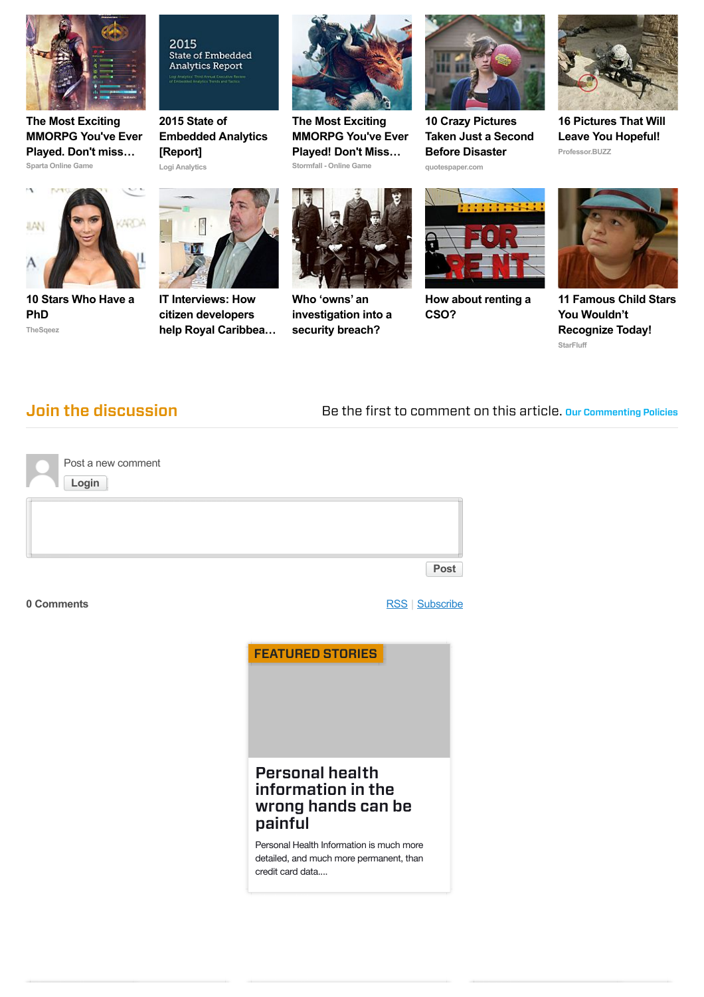

**Sparta Online Game The Most Exciting [MMORPG You've Ever](http://plarium.com/en/strategy-games/sparta-war-of-empires/?plid=64551&pxl=taboola_fr&&publisherID=idg-csoonline) Played. Don't miss…**



**Logi Analytics 2015 State of [Embedded Analytics](http://learn.logianalytics.com/2015-SOEA?gnw=tab&utm_source=taboola&utm_medium=referral) [Report]**



**Stormfall - Online Game The Most Exciting [MMORPG You've Ever](http://plarium.com/en/strategy-games/stormfall-age-of-war/?plid=65759&pxl=taboola_fr&&publisherID=idg-csoonline) Played! Don't Miss…**



**quotespaper.com 10 Crazy Pictures [Taken Just a Second](http://quotespaper.com/general/6864?utm_source=taboola&utm_medium=referral) Before Disaster Professor.BUZZ**



**[16 Pictures That Will](http://professor.buzz/16-pic-that-will-leave-you-hopeful/) Leave You Hopeful!**



**TheSqeez [10 Stars Who Have a](http://thesqeez.com/10-celebs-that-have-a-phd/?utm_source=taboola&utm_medium=referral&utm_campaign=phdt2&utm_term=idg-csoonline) PhD**







**Who 'owns' an [investigation into a](http://www.csoonline.com/article/2889191/data-breach/who-owns-an-investigation.html) security breach?**



**[How about renting a](http://www.csoonline.com/article/2936006/infosec-staffing/how-about-renting-a-cso.html) CSO?**



**StarFluff [11 Famous Child Stars](http://starfluff.com/child-stars-how-have-they-grown/?utm_campaign=childstars-P127-T6-angus-childstars&utm_source=taboola&utm_medium=cpc&utm_term=idg-csoonline) You Wouldn't Recognize Today!**

**Join the discussion** Be the first to comment on this article. [Our Commenting Policies](http://www.csoonline.com/about/comment-policy.html)

| Login | Post a new comment |  |      |
|-------|--------------------|--|------|
|       |                    |  |      |
|       |                    |  | Post |
|       |                    |  |      |

### **0 Comments** [RSS](http://comments.us1.gigya.com/comments/rss/6407751/cso/2122440) | [Subscribe](http://www.csoonline.com/article/2122440/emergency-preparedness/red-team-versus-blue-team--how-to-run-an-effective-simulation.html#)



## Personal health information in the [wrong hands can be](http://www.csoonline.com/article/2954917/cyber-attacks-espionage/personal-health-information-in-the-wrong-hands-can-be-painful.html) painful

Personal Health Information is much more detailed, and much more permanent, than credit card data....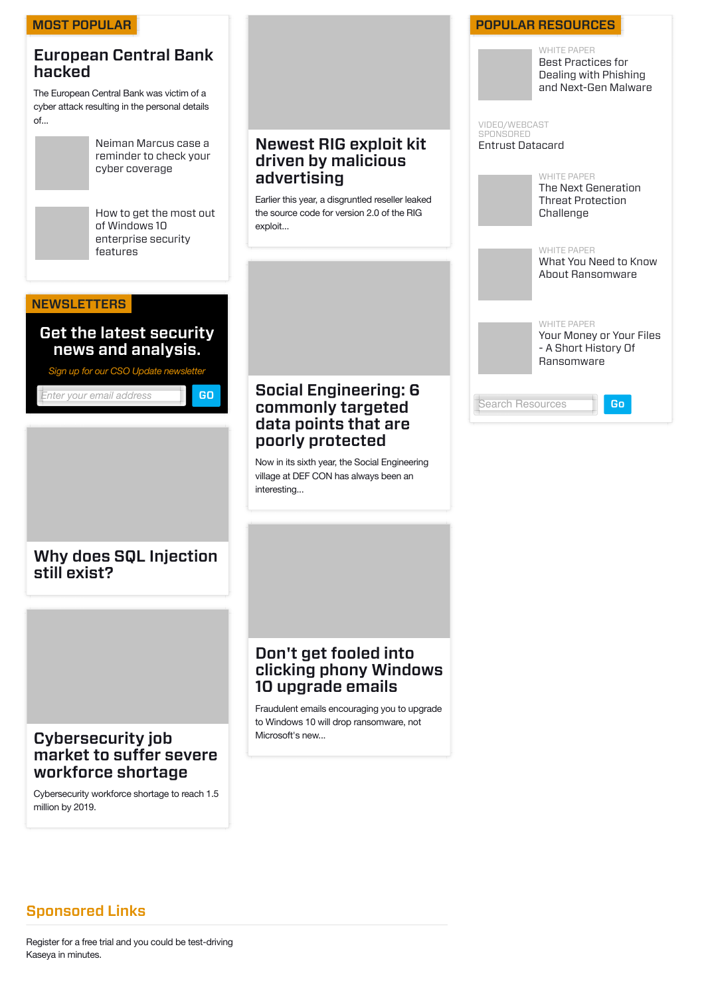

# Sponsored Links